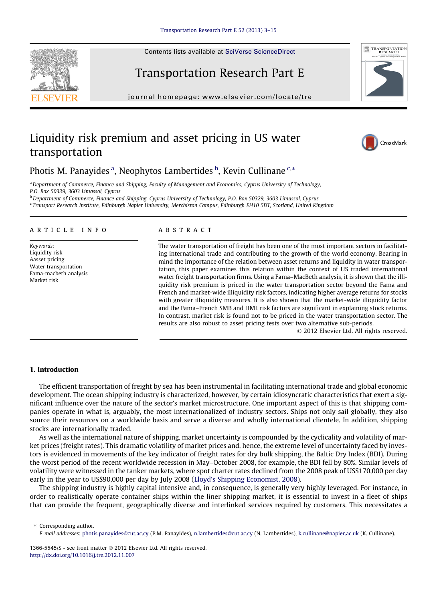Contents lists available at [SciVerse ScienceDirect](http://www.sciencedirect.com/science/journal/13665545)

## Transportation Research Part E

journal homepage: [www.elsevier.com/locate/tre](http://www.elsevier.com/locate/tre)

## Liquidity risk premium and asset pricing in US water transportation

Photis M. Panayides <sup>a</sup>, Neophytos Lambertides <sup>b</sup>, Kevin Cullinane <sup>c,\*</sup>

a Department of Commerce, Finance and Shipping, Faculty of Management and Economics, Cyprus University of Technology, P.O. Box 50329, 3603 Limassol, Cyprus  $b$  Department of Commerce, Finance and Shipping, Cyprus University of Technology, P.O. Box 50329, 3603 Limassol, Cyprus

<sup>c</sup> Transport Research Institute, Edinburgh Napier University, Merchiston Campus, Edinburgh EH10 5DT, Scotland, United Kingdom

#### article info

Keywords: Liquidity risk Aasset pricing Water transportation Fama-macbeth analysis Market risk

### A B S T R A C T

The water transportation of freight has been one of the most important sectors in facilitating international trade and contributing to the growth of the world economy. Bearing in mind the importance of the relation between asset returns and liquidity in water transportation, this paper examines this relation within the context of US traded international water freight transportation firms. Using a Fama–MacBeth analysis, it is shown that the illiquidity risk premium is priced in the water transportation sector beyond the Fama and French and market-wide illiquidity risk factors, indicating higher average returns for stocks with greater illiquidity measures. It is also shown that the market-wide illiquidity factor and the Fama–French SMB and HML risk factors are significant in explaining stock returns. In contrast, market risk is found not to be priced in the water transportation sector. The results are also robust to asset pricing tests over two alternative sub-periods.

- 2012 Elsevier Ltd. All rights reserved.

### 1. Introduction

The efficient transportation of freight by sea has been instrumental in facilitating international trade and global economic development. The ocean shipping industry is characterized, however, by certain idiosyncratic characteristics that exert a significant influence over the nature of the sector's market microstructure. One important aspect of this is that shipping companies operate in what is, arguably, the most internationalized of industry sectors. Ships not only sail globally, they also source their resources on a worldwide basis and serve a diverse and wholly international clientele. In addition, shipping stocks are internationally traded.

As well as the international nature of shipping, market uncertainty is compounded by the cyclicality and volatility of market prices (freight rates). This dramatic volatility of market prices and, hence, the extreme level of uncertainty faced by investors is evidenced in movements of the key indicator of freight rates for dry bulk shipping, the Baltic Dry Index (BDI). During the worst period of the recent worldwide recession in May–October 2008, for example, the BDI fell by 80%. Similar levels of volatility were witnessed in the tanker markets, where spot charter rates declined from the 2008 peak of US\$170,000 per day early in the year to US\$90,000 per day by July 2008 ([Lloyd's Shipping Economist, 2008](#page--1-0)).

The shipping industry is highly capital intensive and, in consequence, is generally very highly leveraged. For instance, in order to realistically operate container ships within the liner shipping market, it is essential to invest in a fleet of ships that can provide the frequent, geographically diverse and interlinked services required by customers. This necessitates a

⇑ Corresponding author. E-mail addresses: [photis.panayides@cut.ac.cy](mailto:photis.panayides@cut.ac.cy) (P.M. Panayides), [n.lambertides@cut.ac.cy](mailto:n.lambertides@cut.ac.cy) (N. Lambertides), [k.cullinane@napier.ac.uk](mailto:k.cullinane@napier.ac.uk) (K. Cullinane).







<sup>1366-5545/\$ -</sup> see front matter © 2012 Elsevier Ltd. All rights reserved. <http://dx.doi.org/10.1016/j.tre.2012.11.007>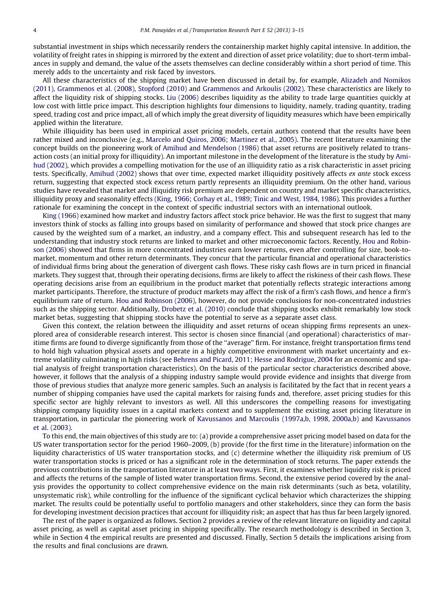substantial investment in ships which necessarily renders the containership market highly capital intensive. In addition, the volatility of freight rates in shipping is mirrored by the extent and direction of asset price volatility; due to short-term imbalances in supply and demand, the value of the assets themselves can decline considerably within a short period of time. This merely adds to the uncertainty and risk faced by investors.

All these characteristics of the shipping market have been discussed in detail by, for example, [Alizadeh and Nomikos](#page--1-0) [\(2011\), Grammenos et al. \(2008\), Stopford \(2010\)](#page--1-0) and [Grammenos and Arkoulis \(2002\)](#page--1-0). These characteristics are likely to affect the liquidity risk of shipping stocks. [Liu \(2006\)](#page--1-0) describes liquidity as the ability to trade large quantities quickly at low cost with little price impact. This description highlights four dimensions to liquidity, namely, trading quantity, trading speed, trading cost and price impact, all of which imply the great diversity of liquidity measures which have been empirically applied within the literature.

While illiquidity has been used in empirical asset pricing models, certain authors contend that the results have been rather mixed and inconclusive (e.g., [Marcelo and Quiros, 2006; Martinez et al., 2005\)](#page--1-0). The recent literature examining the concept builds on the pioneering work of [Amihud and Mendelson \(1986\)](#page--1-0) that asset returns are positively related to transaction costs (an initial proxy for illiquidity). An important milestone in the development of the literature is the study by [Ami](#page--1-0)[hud \(2002\)](#page--1-0), which provides a compelling motivation for the use of an illiquidity ratio as a risk characteristic in asset pricing tests. Specifically, [Amihud \(2002\)](#page--1-0) shows that over time, expected market illiquidity positively affects ex ante stock excess return, suggesting that expected stock excess return partly represents an illiquidity premium. On the other hand, various studies have revealed that market and illiquidity risk premium are dependent on country and market specific characteristics, illiquidity proxy and seasonality effects ([King, 1966; Corhay et al., 1989; Tinic and West, 1984, 1986](#page--1-0)). This provides a further rationale for examining the concept in the context of specific industrial sectors with an international outlook.

[King \(1966\)](#page--1-0) examined how market and industry factors affect stock price behavior. He was the first to suggest that many investors think of stocks as falling into groups based on similarity of performance and showed that stock price changes are caused by the weighted sum of a market, an industry, and a company effect. This and subsequent research has led to the understanding that industry stock returns are linked to market and other microeconomic factors. Recently, [Hou and Robin](#page--1-0)[son \(2006\)](#page--1-0) showed that firms in more concentrated industries earn lower returns, even after controlling for size, book-tomarket, momentum and other return determinants. They concur that the particular financial and operational characteristics of individual firms bring about the generation of divergent cash flows. These risky cash flows are in turn priced in financial markets. They suggest that, through their operating decisions, firms are likely to affect the riskiness of their cash flows. These operating decisions arise from an equilibrium in the product market that potentially reflects strategic interactions among market participants. Therefore, the structure of product markets may affect the risk of a firm's cash flows, and hence a firm's equilibrium rate of return. [Hou and Robinson \(2006\),](#page--1-0) however, do not provide conclusions for non-concentrated industries such as the shipping sector. Additionally, [Drobetz et al. \(2010\)](#page--1-0) conclude that shipping stocks exhibit remarkably low stock market betas, suggesting that shipping stocks have the potential to serve as a separate asset class.

Given this context, the relation between the illiquidity and asset returns of ocean shipping firms represents an unexplored area of considerable research interest. This sector is chosen since financial (and operational) characteristics of maritime firms are found to diverge significantly from those of the ''average'' firm. For instance, freight transportation firms tend to hold high valuation physical assets and operate in a highly competitive environment with market uncertainty and extreme volatility culminating in high risks (see [Behrens and Picard, 2011; Hesse and Rodrigue, 2004](#page--1-0) for an economic and spatial analysis of freight transportation characteristics). On the basis of the particular sector characteristics described above, however, it follows that the analysis of a shipping industry sample would provide evidence and insights that diverge from those of previous studies that analyze more generic samples. Such an analysis is facilitated by the fact that in recent years a number of shipping companies have used the capital markets for raising funds and, therefore, asset pricing studies for this specific sector are highly relevant to investors as well. All this underscores the compelling reasons for investigating shipping company liquidity issues in a capital markets context and to supplement the existing asset pricing literature in transportation, in particular the pioneering work of [Kavussanos and Marcoulis \(1997a,b, 1998, 2000a,b\)](#page--1-0) and [Kavussanos](#page--1-0) [et al. \(2003\)](#page--1-0).

To this end, the main objectives of this study are to: (a) provide a comprehensive asset pricing model based on data for the US water transportation sector for the period 1960–2009, (b) provide (for the first time in the literature) information on the liquidity characteristics of US water transportation stocks, and (c) determine whether the illiquidity risk premium of US water transportation stocks is priced or has a significant role in the determination of stock returns. The paper extends the previous contributions in the transportation literature in at least two ways. First, it examines whether liquidity risk is priced and affects the returns of the sample of listed water transportation firms. Second, the extensive period covered by the analysis provides the opportunity to collect comprehensive evidence on the main risk determinants (such as beta, volatility, unsystematic risk), while controlling for the influence of the significant cyclical behavior which characterizes the shipping market. The results could be potentially useful to portfolio managers and other stakeholders, since they can form the basis for developing investment decision practices that account for illiquidity risk; an aspect that has thus far been largely ignored.

The rest of the paper is organized as follows. Section 2 provides a review of the relevant literature on liquidity and capital asset pricing, as well as capital asset pricing in shipping specifically. The research methodology is described in Section 3, while in Section 4 the empirical results are presented and discussed. Finally, Section 5 details the implications arising from the results and final conclusions are drawn.